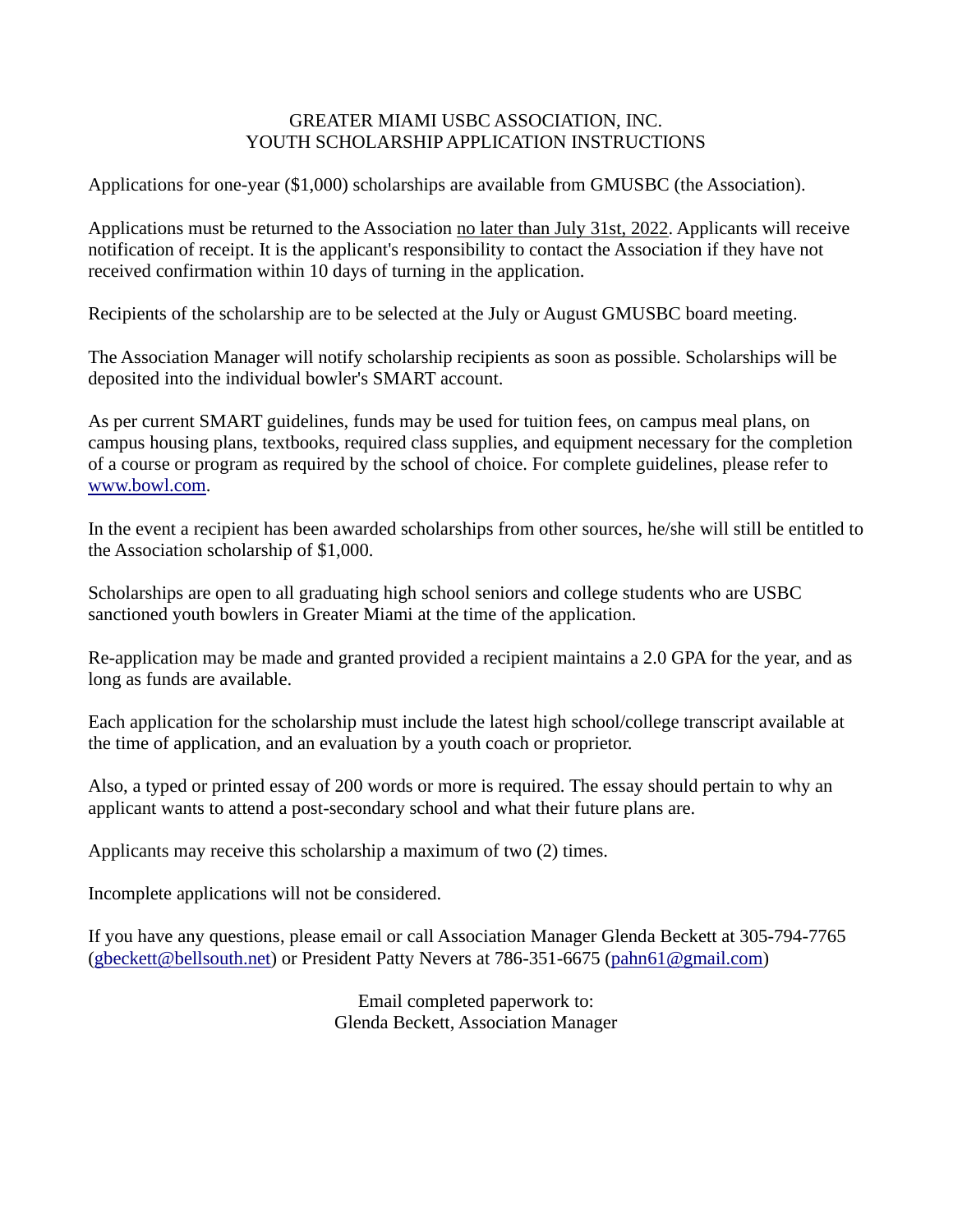## GREATER MIAMI USBC ASSOCIATION, INC. YOUTH SCHOLARSHIP APPLICATION INSTRUCTIONS

Applications for one-year (\$1,000) scholarships are available from GMUSBC (the Association).

Applications must be returned to the Association no later than July 31st, 2022. Applicants will receive notification of receipt. It is the applicant's responsibility to contact the Association if they have not received confirmation within 10 days of turning in the application.

Recipients of the scholarship are to be selected at the July or August GMUSBC board meeting.

The Association Manager will notify scholarship recipients as soon as possible. Scholarships will be deposited into the individual bowler's SMART account.

As per current SMART guidelines, funds may be used for tuition fees, on campus meal plans, on campus housing plans, textbooks, required class supplies, and equipment necessary for the completion of a course or program as required by the school of choice. For complete guidelines, please refer to [www.bowl.com.](http://www.bowl.com/)

In the event a recipient has been awarded scholarships from other sources, he/she will still be entitled to the Association scholarship of \$1,000.

Scholarships are open to all graduating high school seniors and college students who are USBC sanctioned youth bowlers in Greater Miami at the time of the application.

Re-application may be made and granted provided a recipient maintains a 2.0 GPA for the year, and as long as funds are available.

Each application for the scholarship must include the latest high school/college transcript available at the time of application, and an evaluation by a youth coach or proprietor.

Also, a typed or printed essay of 200 words or more is required. The essay should pertain to why an applicant wants to attend a post-secondary school and what their future plans are.

Applicants may receive this scholarship a maximum of two (2) times.

Incomplete applications will not be considered.

If you have any questions, please email or call Association Manager Glenda Beckett at 305-794-7765 [\(gbeckett@bellsouth.net\)](mailto:gbeckett@bellsouth.net) or President Patty Nevers at 786-351-6675 [\(pahn61@gmail.com\)](mailto:pahn61@gmail.com)

> Email completed paperwork to: Glenda Beckett, Association Manager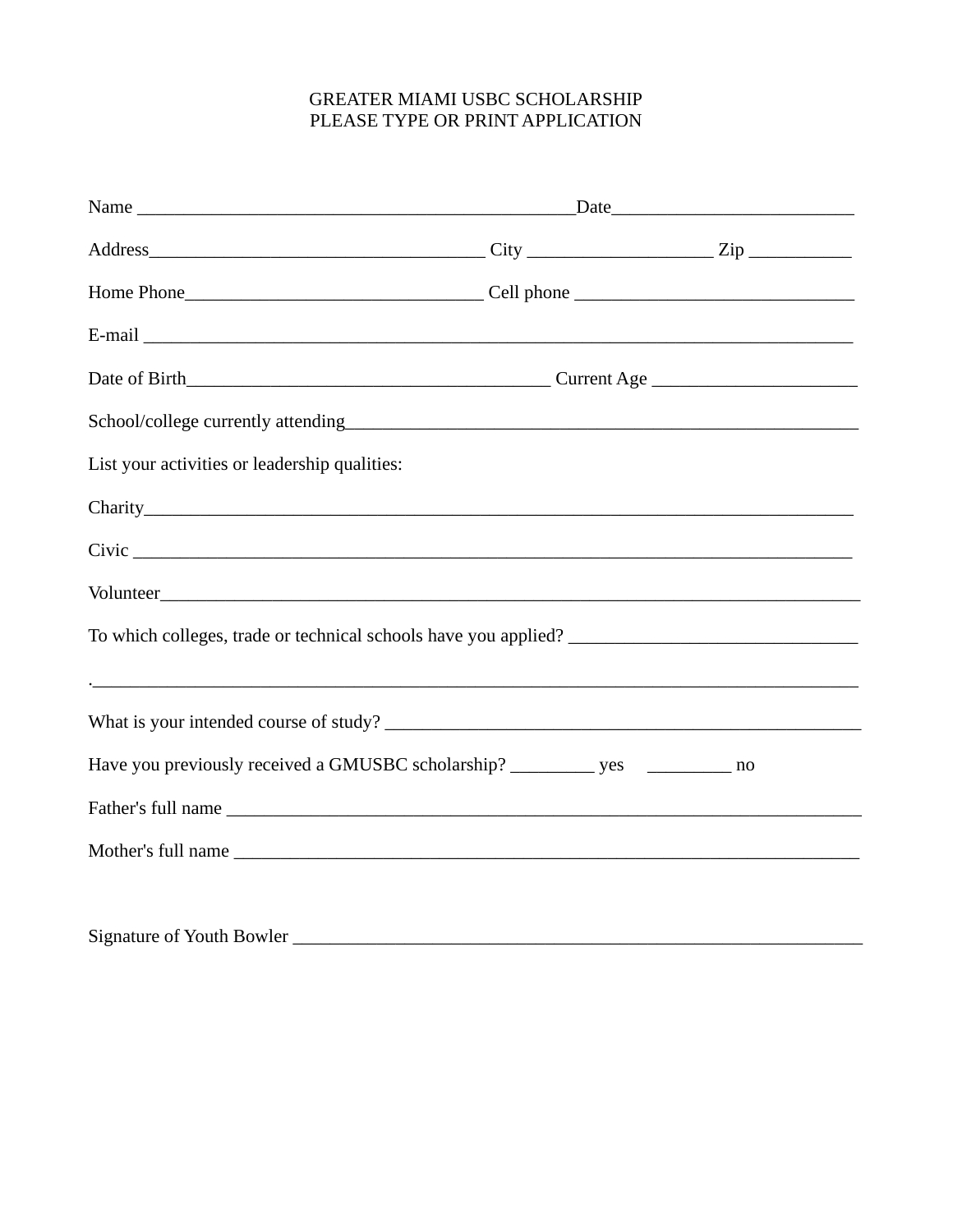## GREATER MIAMI USBC SCHOLARSHIP PLEASE TYPE OR PRINT APPLICATION

| List your activities or leadership qualities:                               |  |  |
|-----------------------------------------------------------------------------|--|--|
|                                                                             |  |  |
|                                                                             |  |  |
|                                                                             |  |  |
|                                                                             |  |  |
|                                                                             |  |  |
|                                                                             |  |  |
| Have you previously received a GMUSBC scholarship? ________ yes ________ no |  |  |
|                                                                             |  |  |
|                                                                             |  |  |
|                                                                             |  |  |
|                                                                             |  |  |